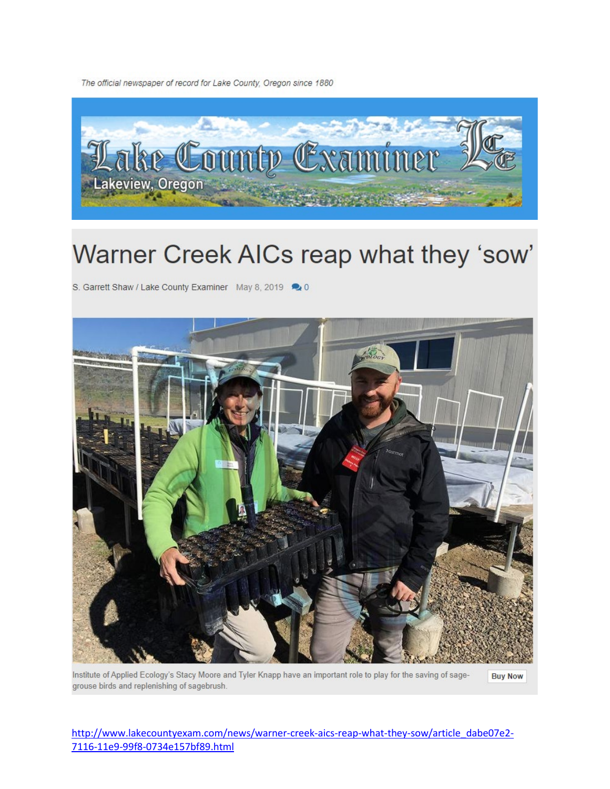The official newspaper of record for Lake County, Oregon since 1880



## Warner Creek AICs reap what they 'sow'

S. Garrett Shaw / Lake County Examiner May 8, 2019 20



Institute of Applied Ecology's Stacy Moore and Tyler Knapp have an important role to play for the saving of sage-**Buy Now** grouse birds and replenishing of sagebrush.

http://www.lakecountyexam.com/news/warner-creek-aics-reap-what-they-sow/article\_dabe07e2-7116-11e9-99f8-0734e157bf89.html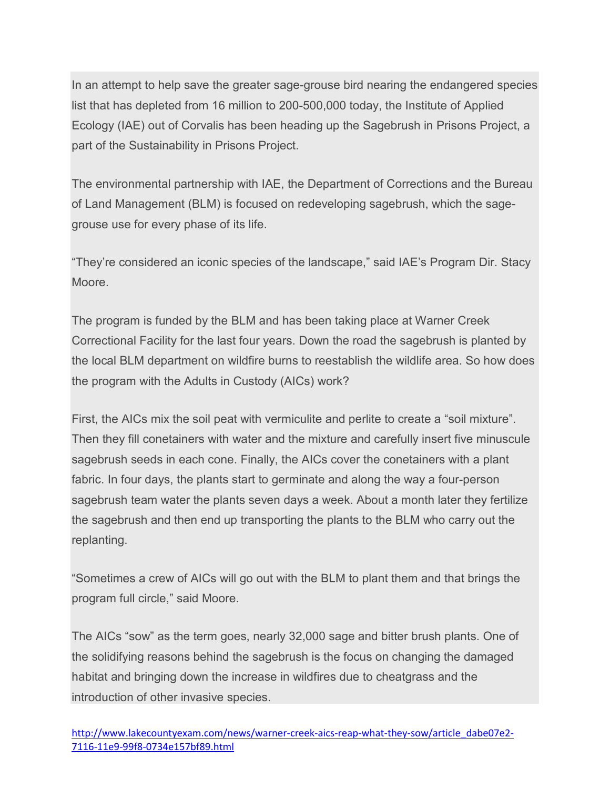In an attempt to help save the greater sage-grouse bird nearing the endangered species list that has depleted from 16 million to 200-500,000 today, the Institute of Applied Ecology (IAE) out of Corvalis has been heading up the Sagebrush in Prisons Project, a part of the Sustainability in Prisons Project.

The environmental partnership with IAE, the Department of Corrections and the Bureau of Land Management (BLM) is focused on redeveloping sagebrush, which the sagegrouse use for every phase of its life.

"They're considered an iconic species of the landscape," said IAE's Program Dir. Stacy Moore.

The program is funded by the BLM and has been taking place at Warner Creek Correctional Facility for the last four years. Down the road the sagebrush is planted by the local BLM department on wildfire burns to reestablish the wildlife area. So how does the program with the Adults in Custody (AICs) work?

First, the AICs mix the soil peat with vermiculite and perlite to create a "soil mixture". Then they fill conetainers with water and the mixture and carefully insert five minuscule sagebrush seeds in each cone. Finally, the AICs cover the conetainers with a plant fabric. In four days, the plants start to germinate and along the way a four-person sagebrush team water the plants seven days a week. About a month later they fertilize the sagebrush and then end up transporting the plants to the BLM who carry out the replanting.

"Sometimes a crew of AICs will go out with the BLM to plant them and that brings the program full circle," said Moore.

The AICs "sow" as the term goes, nearly 32,000 sage and bitter brush plants. One of the solidifying reasons behind the sagebrush is the focus on changing the damaged habitat and bringing down the increase in wildfires due to cheatgrass and the introduction of other invasive species.